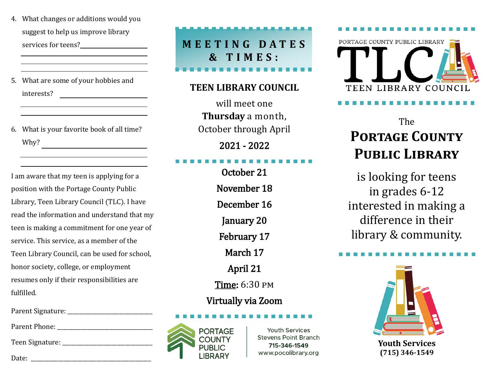- 4. What changes or additions would you suggest to help us improve library services for teens?<br>
<u>Services</u> for teens?
- 5. What are some of your hobbies and interests?
- 6. What is your favorite book of all time? Why?

I am aware that my teen is applying for a position with the Portage County Public Library, Teen Library Council (TLC). I have read the information and understand that my teen is making a commitment for one year of service. This service, as a member of the Teen Library Council, can be used for school, honor society, college, or employment resumes only if their responsibilities are fulfilled.

Parent Signature: \_\_\_\_\_\_\_\_\_\_\_\_\_\_\_\_\_\_\_\_\_\_\_\_\_\_\_\_\_\_\_

Parent Phone: \_\_\_\_\_\_\_\_\_\_\_\_\_\_\_\_\_\_\_\_\_\_\_\_\_\_\_\_\_\_\_\_\_\_\_

Teen Signature:

Date:

**M E E T I N G D A T E S & T I M E S :**

# **TEEN LIBRARY COUNCIL**

will meet one **Thursday** a month, October through April 2021 - 2022

#### í

October 21 November 18 December 16 January 20 February 17 March 17 April 21 Time: 6:30 pm

# Virtually via Zoom



**Youth Services Stevens Point Branch** 715-346-1549 www.pocolibrary.org



# The **Portage County Public Library**

is looking for teens in grades 6-12 interested in making a difference in their library & community.



**Youth Services (715) 346-1549**